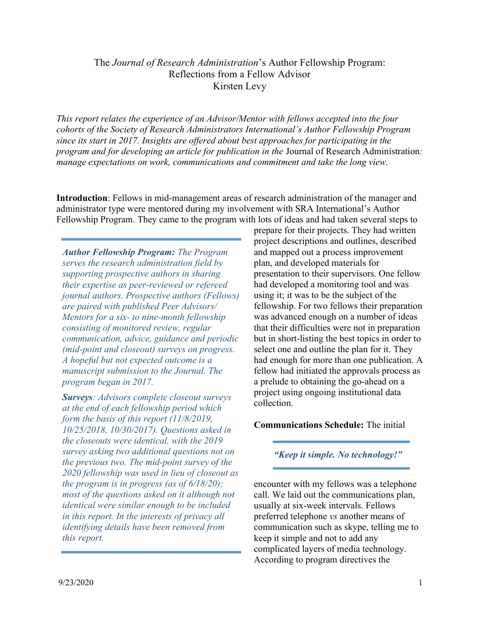## The Journal of Research Administration's Author Fellowship Program: Reflections from a Fellow Advisor Kirsten Levy

This report relates the experience of an Advisor/Mentor with fellows accepted into the four cohorts of the Society of Research Administrators International's Author Fellowship Program since its start in 2017. Insights are offered about best approaches for participating in the program and for developing an article for publication in the Journal of Research Administration: manage expectations on work, communications and commitment and take the long view.

Introduction: Fellows in mid-management areas of research administration of the manager and administrator type were mentored during my involvement with SRA International's Author Fellowship Program. They came to the program with lots of ideas and had taken several steps to

Author Fellowship Program: The Program serves the research administration field by supporting prospective authors in sharing their expertise as peer-reviewed or refereed journal authors. Prospective authors (Fellows) are paired with published Peer Advisors/ Mentors for a six- to nine-month fellowship consisting of monitored review, regular communication, advice, guidance and periodic (mid-point and closeout) surveys on progress. A hopeful but not expected outcome is a manuscript submission to the Journal. The program began in 2017.

**Surveys:** Advisors complete closeout surveys at the end of each fellowship period which form the basis of this report (11/8/2019, 10/25/2018, 10/30/2017). Questions asked in the closeouts were identical, with the 2019 survey asking two additional questions not on the previous two. The mid-point survey of the 2020 fellowship was used in lieu of closeout as the program is in progress (as of  $6/18/20$ ); most of the questions asked on it although not identical were similar enough to be included in this report. In the interests of privacy all identifying details have been removed from this report.

prepare for their projects. They had written project descriptions and outlines, described and mapped out a process improvement plan, and developed materials for presentation to their supervisors. One fellow had developed a monitoring tool and was using it; it was to be the subject of the fellowship. For two fellows their preparation was advanced enough on a number of ideas that their difficulties were not in preparation but in short-listing the best topics in order to select one and outline the plan for it. They had enough for more than one publication. A fellow had initiated the approvals process as a prelude to obtaining the go-ahead on a project using ongoing institutional data collection.

## Communications Schedule: The initial

"Keep it simple. No technology!"

encounter with my fellows was a telephone call. We laid out the communications plan, usually at six-week intervals. Fellows preferred telephone vs another means of communication such as skype, telling me to keep it simple and not to add any complicated layers of media technology. According to program directives the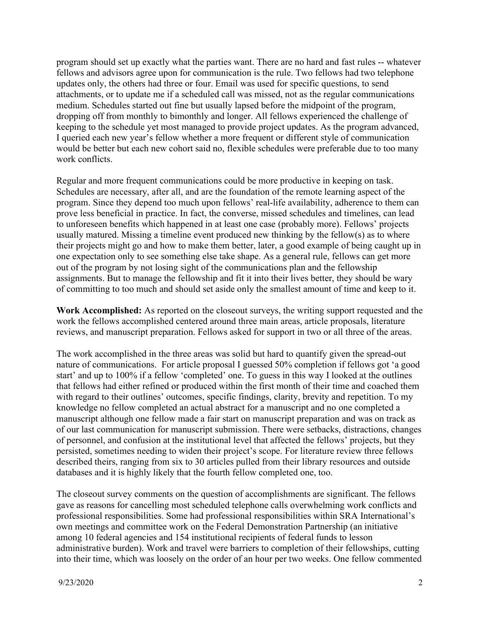program should set up exactly what the parties want. There are no hard and fast rules -- whatever fellows and advisors agree upon for communication is the rule. Two fellows had two telephone updates only, the others had three or four. Email was used for specific questions, to send attachments, or to update me if a scheduled call was missed, not as the regular communications medium. Schedules started out fine but usually lapsed before the midpoint of the program, dropping off from monthly to bimonthly and longer. All fellows experienced the challenge of keeping to the schedule yet most managed to provide project updates. As the program advanced, I queried each new year's fellow whether a more frequent or different style of communication would be better but each new cohort said no, flexible schedules were preferable due to too many work conflicts.

Regular and more frequent communications could be more productive in keeping on task. Schedules are necessary, after all, and are the foundation of the remote learning aspect of the program. Since they depend too much upon fellows' real-life availability, adherence to them can prove less beneficial in practice. In fact, the converse, missed schedules and timelines, can lead to unforeseen benefits which happened in at least one case (probably more). Fellows' projects usually matured. Missing a timeline event produced new thinking by the fellow(s) as to where their projects might go and how to make them better, later, a good example of being caught up in one expectation only to see something else take shape. As a general rule, fellows can get more out of the program by not losing sight of the communications plan and the fellowship assignments. But to manage the fellowship and fit it into their lives better, they should be wary of committing to too much and should set aside only the smallest amount of time and keep to it.

Work Accomplished: As reported on the closeout surveys, the writing support requested and the work the fellows accomplished centered around three main areas, article proposals, literature reviews, and manuscript preparation. Fellows asked for support in two or all three of the areas.

The work accomplished in the three areas was solid but hard to quantify given the spread-out nature of communications. For article proposal I guessed 50% completion if fellows got 'a good start' and up to 100% if a fellow 'completed' one. To guess in this way I looked at the outlines that fellows had either refined or produced within the first month of their time and coached them with regard to their outlines' outcomes, specific findings, clarity, brevity and repetition. To my knowledge no fellow completed an actual abstract for a manuscript and no one completed a manuscript although one fellow made a fair start on manuscript preparation and was on track as of our last communication for manuscript submission. There were setbacks, distractions, changes of personnel, and confusion at the institutional level that affected the fellows' projects, but they persisted, sometimes needing to widen their project's scope. For literature review three fellows described theirs, ranging from six to 30 articles pulled from their library resources and outside databases and it is highly likely that the fourth fellow completed one, too.

The closeout survey comments on the question of accomplishments are significant. The fellows gave as reasons for cancelling most scheduled telephone calls overwhelming work conflicts and professional responsibilities. Some had professional responsibilities within SRA International's own meetings and committee work on the Federal Demonstration Partnership (an initiative among 10 federal agencies and 154 institutional recipients of federal funds to lesson administrative burden). Work and travel were barriers to completion of their fellowships, cutting into their time, which was loosely on the order of an hour per two weeks. One fellow commented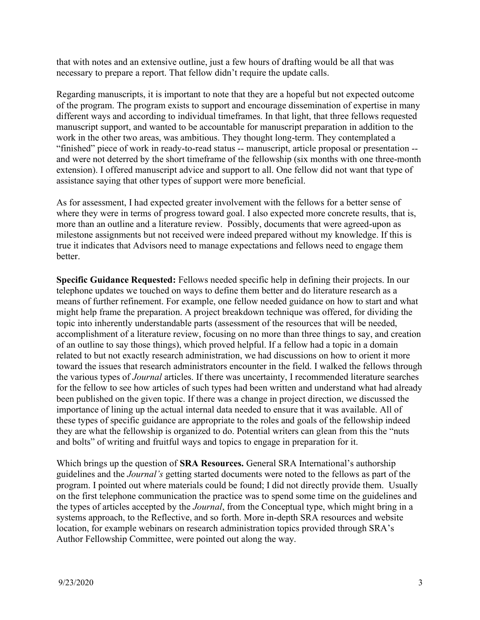that with notes and an extensive outline, just a few hours of drafting would be all that was necessary to prepare a report. That fellow didn't require the update calls.

Regarding manuscripts, it is important to note that they are a hopeful but not expected outcome of the program. The program exists to support and encourage dissemination of expertise in many different ways and according to individual timeframes. In that light, that three fellows requested manuscript support, and wanted to be accountable for manuscript preparation in addition to the work in the other two areas, was ambitious. They thought long-term. They contemplated a "finished" piece of work in ready-to-read status -- manuscript, article proposal or presentation - and were not deterred by the short timeframe of the fellowship (six months with one three-month extension). I offered manuscript advice and support to all. One fellow did not want that type of assistance saying that other types of support were more beneficial.

As for assessment, I had expected greater involvement with the fellows for a better sense of where they were in terms of progress toward goal. I also expected more concrete results, that is, more than an outline and a literature review. Possibly, documents that were agreed-upon as milestone assignments but not received were indeed prepared without my knowledge. If this is true it indicates that Advisors need to manage expectations and fellows need to engage them better.

Specific Guidance Requested: Fellows needed specific help in defining their projects. In our telephone updates we touched on ways to define them better and do literature research as a means of further refinement. For example, one fellow needed guidance on how to start and what might help frame the preparation. A project breakdown technique was offered, for dividing the topic into inherently understandable parts (assessment of the resources that will be needed, accomplishment of a literature review, focusing on no more than three things to say, and creation of an outline to say those things), which proved helpful. If a fellow had a topic in a domain related to but not exactly research administration, we had discussions on how to orient it more toward the issues that research administrators encounter in the field. I walked the fellows through the various types of Journal articles. If there was uncertainty, I recommended literature searches for the fellow to see how articles of such types had been written and understand what had already been published on the given topic. If there was a change in project direction, we discussed the importance of lining up the actual internal data needed to ensure that it was available. All of these types of specific guidance are appropriate to the roles and goals of the fellowship indeed they are what the fellowship is organized to do. Potential writers can glean from this the "nuts and bolts" of writing and fruitful ways and topics to engage in preparation for it.

Which brings up the question of SRA Resources. General SRA International's authorship guidelines and the Journal's getting started documents were noted to the fellows as part of the program. I pointed out where materials could be found; I did not directly provide them. Usually on the first telephone communication the practice was to spend some time on the guidelines and the types of articles accepted by the Journal, from the Conceptual type, which might bring in a systems approach, to the Reflective, and so forth. More in-depth SRA resources and website location, for example webinars on research administration topics provided through SRA's Author Fellowship Committee, were pointed out along the way.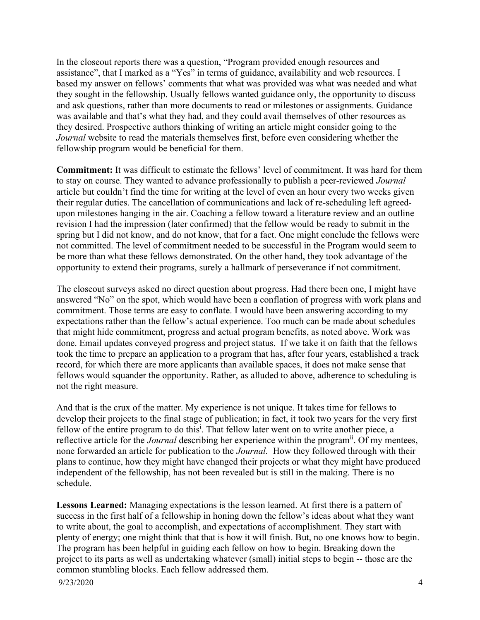In the closeout reports there was a question, "Program provided enough resources and assistance", that I marked as a "Yes" in terms of guidance, availability and web resources. I based my answer on fellows' comments that what was provided was what was needed and what they sought in the fellowship. Usually fellows wanted guidance only, the opportunity to discuss and ask questions, rather than more documents to read or milestones or assignments. Guidance was available and that's what they had, and they could avail themselves of other resources as they desired. Prospective authors thinking of writing an article might consider going to the Journal website to read the materials themselves first, before even considering whether the fellowship program would be beneficial for them.

Commitment: It was difficult to estimate the fellows' level of commitment. It was hard for them to stay on course. They wanted to advance professionally to publish a peer-reviewed *Journal* article but couldn't find the time for writing at the level of even an hour every two weeks given their regular duties. The cancellation of communications and lack of re-scheduling left agreedupon milestones hanging in the air. Coaching a fellow toward a literature review and an outline revision I had the impression (later confirmed) that the fellow would be ready to submit in the spring but I did not know, and do not know, that for a fact. One might conclude the fellows were not committed. The level of commitment needed to be successful in the Program would seem to be more than what these fellows demonstrated. On the other hand, they took advantage of the opportunity to extend their programs, surely a hallmark of perseverance if not commitment.

The closeout surveys asked no direct question about progress. Had there been one, I might have answered "No" on the spot, which would have been a conflation of progress with work plans and commitment. Those terms are easy to conflate. I would have been answering according to my expectations rather than the fellow's actual experience. Too much can be made about schedules that might hide commitment, progress and actual program benefits, as noted above. Work was done. Email updates conveyed progress and project status. If we take it on faith that the fellows took the time to prepare an application to a program that has, after four years, established a track record, for which there are more applicants than available spaces, it does not make sense that fellows would squander the opportunity. Rather, as alluded to above, adherence to scheduling is not the right measure.

And that is the crux of the matter. My experience is not unique. It takes time for fellows to develop their projects to the final stage of publication; in fact, it took two years for the very first fellow of the entire program to do this<sup>i</sup>. That fellow later went on to write another piece, a reflective article for the *Journal* describing her experience within the program<sup>ii</sup>. Of my mentees, none forwarded an article for publication to the Journal. How they followed through with their plans to continue, how they might have changed their projects or what they might have produced independent of the fellowship, has not been revealed but is still in the making. There is no schedule.

9/23/2020 4 Lessons Learned: Managing expectations is the lesson learned. At first there is a pattern of success in the first half of a fellowship in honing down the fellow's ideas about what they want to write about, the goal to accomplish, and expectations of accomplishment. They start with plenty of energy; one might think that that is how it will finish. But, no one knows how to begin. The program has been helpful in guiding each fellow on how to begin. Breaking down the project to its parts as well as undertaking whatever (small) initial steps to begin -- those are the common stumbling blocks. Each fellow addressed them.